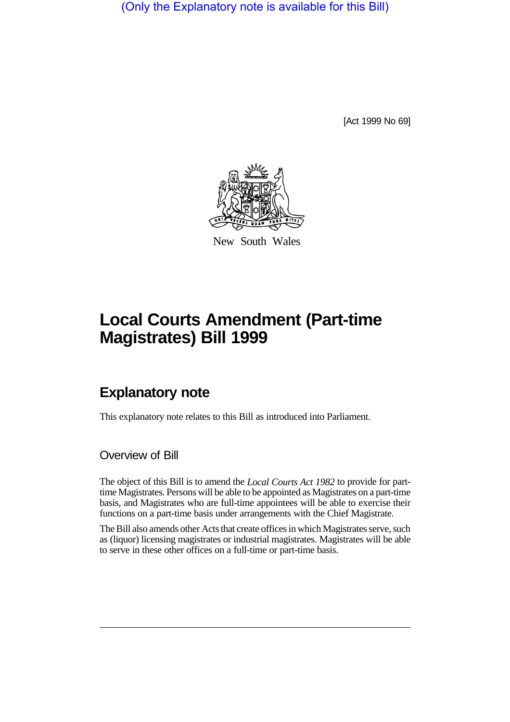(Only the Explanatory note is available for this Bill)

[Act 1999 No 69]



New South Wales

# **Local Courts Amendment (Part-time Magistrates) Bill 1999**

## **Explanatory note**

This explanatory note relates to this Bill as introduced into Parliament.

Overview of Bill

The object of this Bill is to amend the *Local Courts Act 1982* to provide for parttime Magistrates. Persons will be able to be appointed as Magistrates on a part-time basis, and Magistrates who are full-time appointees will be able to exercise their functions on a part-time basis under arrangements with the Chief Magistrate.

The Bill also amends other Acts that create offices in which Magistrates serve, such as (liquor) licensing magistrates or industrial magistrates. Magistrates will be able to serve in these other offices on a full-time or part-time basis.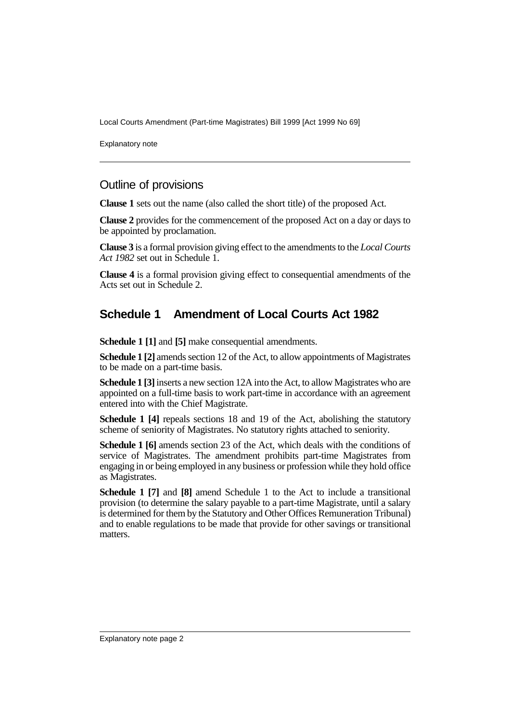Local Courts Amendment (Part-time Magistrates) Bill 1999 [Act 1999 No 69]

Explanatory note

#### Outline of provisions

**Clause 1** sets out the name (also called the short title) of the proposed Act.

**Clause 2** provides for the commencement of the proposed Act on a day or days to be appointed by proclamation.

**Clause 3** is a formal provision giving effect to the amendments to the *Local Courts Act 1982* set out in Schedule 1.

**Clause 4** is a formal provision giving effect to consequential amendments of the Acts set out in Schedule 2.

### **Schedule 1 Amendment of Local Courts Act 1982**

**Schedule 1 [1]** and **[5]** make consequential amendments.

**Schedule 1 [2]** amends section 12 of the Act, to allow appointments of Magistrates to be made on a part-time basis.

**Schedule 1 [3]** inserts a new section 12A into the Act, to allow Magistrates who are appointed on a full-time basis to work part-time in accordance with an agreement entered into with the Chief Magistrate.

**Schedule 1 [4]** repeals sections 18 and 19 of the Act, abolishing the statutory scheme of seniority of Magistrates. No statutory rights attached to seniority.

**Schedule 1 [6]** amends section 23 of the Act, which deals with the conditions of service of Magistrates. The amendment prohibits part-time Magistrates from engaging in or being employed in any business or profession while they hold office as Magistrates.

**Schedule 1 [7]** and **[8]** amend Schedule 1 to the Act to include a transitional provision (to determine the salary payable to a part-time Magistrate, until a salary is determined for them by the Statutory and Other Offices Remuneration Tribunal) and to enable regulations to be made that provide for other savings or transitional matters.